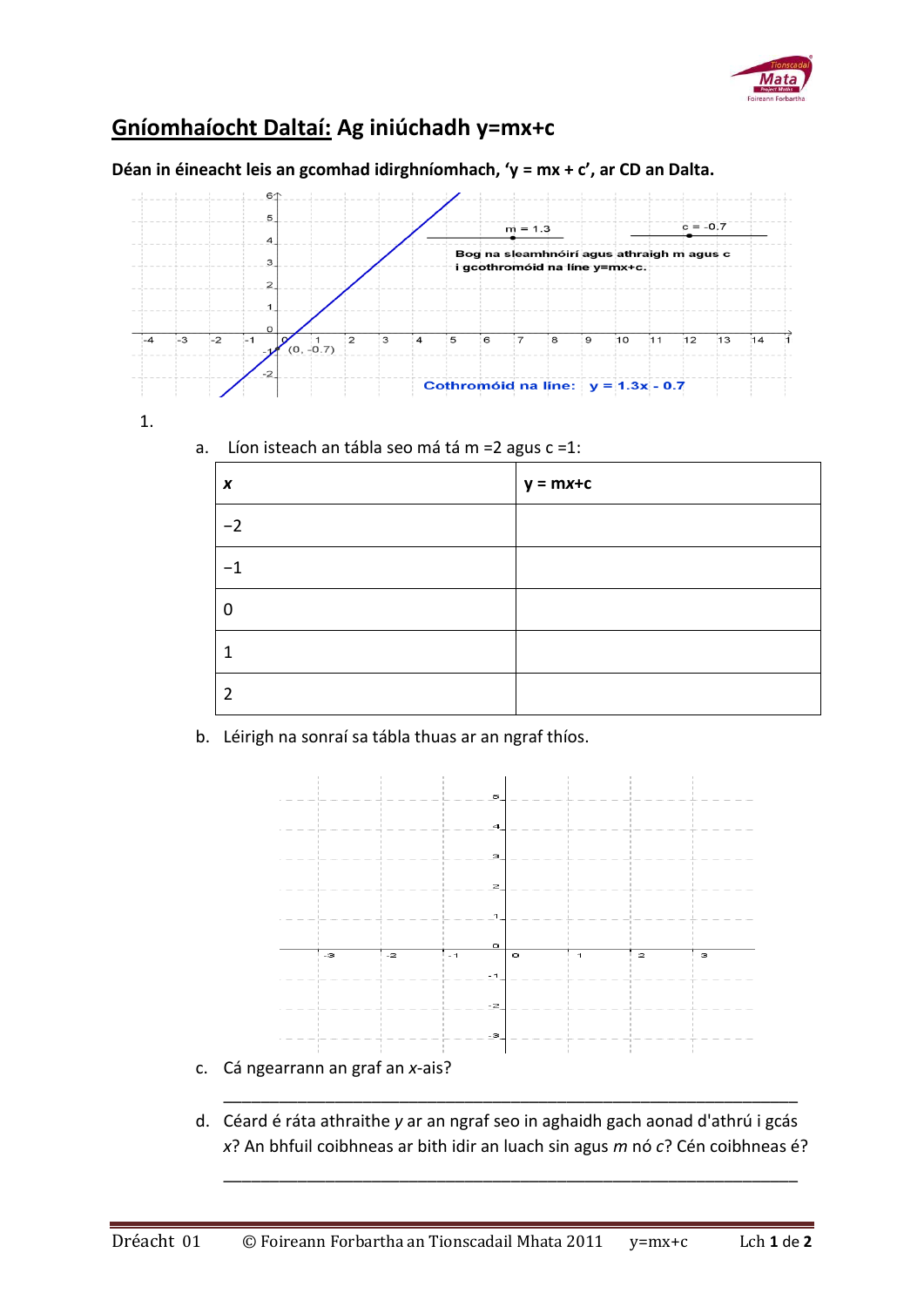

## **Gníomhaíocht Daltaí: Ag iniúchadh y=mx+c**

**Déan in éineacht leis an gcomhad idirghníomhach, 'y = mx + c', ar CD an Dalta.** 



1.

a. Líon isteach an tábla seo má tá m =2 agus c =1:

| X    | $y = mx + c$ |
|------|--------------|
| $-2$ |              |
| . 1  |              |
|      |              |
| 1    |              |
| 2    |              |

b. Léirigh na sonraí sa tábla thuas ar an ngraf thíos.



- c. Cá ngearrann an graf an *x*-ais?
- d. Céard é ráta athraithe *y* ar an ngraf seo in aghaidh gach aonad d'athrú i gcás *x*? An bhfuil coibhneas ar bith idir an luach sin agus *m* nó *c*? Cén coibhneas é?

\_\_\_\_\_\_\_\_\_\_\_\_\_\_\_\_\_\_\_\_\_\_\_\_\_\_\_\_\_\_\_\_\_\_\_\_\_\_\_\_\_\_\_\_\_\_\_\_\_\_\_\_\_\_\_\_\_\_\_\_\_\_

\_\_\_\_\_\_\_\_\_\_\_\_\_\_\_\_\_\_\_\_\_\_\_\_\_\_\_\_\_\_\_\_\_\_\_\_\_\_\_\_\_\_\_\_\_\_\_\_\_\_\_\_\_\_\_\_\_\_\_\_\_\_